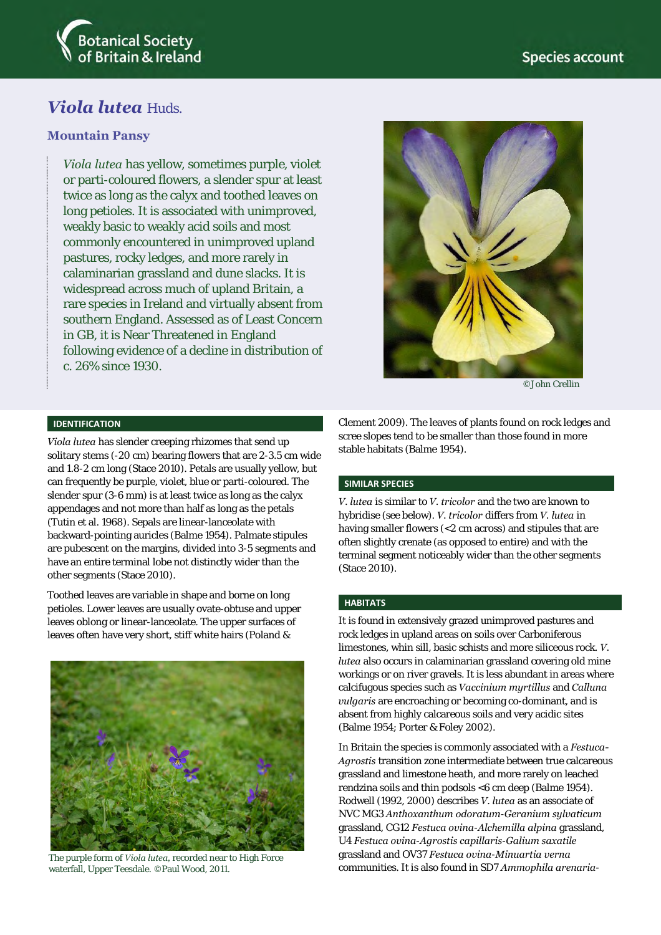

# *Viola lutea* Huds.

## **Mountain Pansy**

*Viola lutea* has yellow, sometimes purple, violet or parti-coloured flowers, a slender spur at least twice as long as the calyx and toothed leaves on long petioles. It is associated with unimproved, weakly basic to weakly acid soils and most commonly encountered in unimproved upland pastures, rocky ledges, and more rarely in calaminarian grassland and dune slacks. It is widespread across much of upland Britain, a rare species in Ireland and virtually absent from southern England. Assessed as of Least Concern in GB, it is Near Threatened in England following evidence of a decline in distribution of c. 26% since 1930.



©John Crellin

#### **IDENTIFICATION**

*Viola lutea* has slender creeping rhizomes that send up solitary stems (-20 cm) bearing flowers that are 2-3.5 cm wide and 1.8-2 cm long (Stace 2010). Petals are usually yellow, but can frequently be purple, violet, blue or parti-coloured. The slender spur (3-6 mm) is at least twice as long as the calyx appendages and not more than half as long as the petals (Tutin et al. 1968). Sepals are linear-lanceolate with backward-pointing auricles (Balme 1954). Palmate stipules are pubescent on the margins, divided into 3-5 segments and have an entire terminal lobe not distinctly wider than the other segments (Stace 2010).

Toothed leaves are variable in shape and borne on long petioles. Lower leaves are usually ovate-obtuse and upper leaves oblong or linear-lanceolate. The upper surfaces of leaves often have very short, stiff white hairs (Poland &



The purple form of *Viola lutea,* recorded near to High Force waterfall, Upper Teesdale. ©Paul Wood, 2011.

Clement 2009). The leaves of plants found on rock ledges and scree slopes tend to be smaller than those found in more stable habitats (Balme 1954).

#### **SIMILAR SPECIES**

*V. lutea* is similar to *V. tricolor* and the two are known to hybridise (see below). *V. tricolor* differs from *V. lutea* in having smaller flowers (<2 cm across) and stipules that are often slightly crenate (as opposed to entire) and with the terminal segment noticeably wider than the other segments (Stace 2010).

#### **HABITATS**

It is found in extensively grazed unimproved pastures and rock ledges in upland areas on soils over Carboniferous limestones, whin sill, basic schists and more siliceous rock. *V. lutea* also occurs in calaminarian grassland covering old mine workings or on river gravels. It is less abundant in areas where calcifugous species such as *Vaccinium myrtillus* and *Calluna vulgaris* are encroaching or becoming co-dominant, and is absent from highly calcareous soils and very acidic sites (Balme 1954; Porter & Foley 2002).

In Britain the species is commonly associated with a *Festuca-Agrostis* transition zone intermediate between true calcareous grassland and limestone heath, and more rarely on leached rendzina soils and thin podsols <6 cm deep (Balme 1954). Rodwell (1992, 2000) describes *V. lutea* as an associate of NVC MG3 *Anthoxanthum odoratum*-*Geranium sylvaticum* grassland, CG12 *Festuca ovina*-*Alchemilla alpina* grassland, U4 *Festuca ovina*-*Agrostis capillaris*-*Galium saxatile* grassland and OV37 *Festuca ovina*-*Minuartia verna* communities. It is also found in SD7 *Ammophila arenaria*-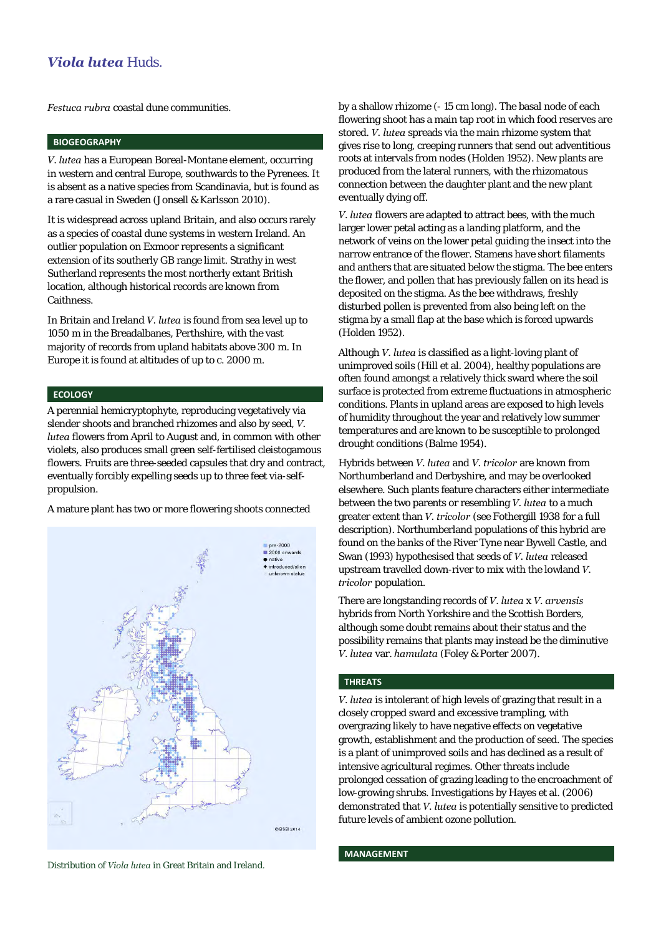## *Viola lutea* Huds.

*Festuca rubra* coastal dune communities.

## **BIOGEOGRAPHY**

*V. lutea* has a European Boreal-Montane element, occurring in western and central Europe, southwards to the Pyrenees. It is absent as a native species from Scandinavia, but is found as a rare casual in Sweden (Jonsell & Karlsson 2010).

It is widespread across upland Britain, and also occurs rarely as a species of coastal dune systems in western Ireland. An outlier population on Exmoor represents a significant extension of its southerly GB range limit. Strathy in west Sutherland represents the most northerly extant British location, although historical records are known from Caithness.

In Britain and Ireland *V. lutea* is found from sea level up to 1050 m in the Breadalbanes, Perthshire, with the vast majority of records from upland habitats above 300 m. In Europe it is found at altitudes of up to c. 2000 m.

#### **ECOLOGY**

A perennial hemicryptophyte, reproducing vegetatively via slender shoots and branched rhizomes and also by seed, *V. lutea* flowers from April to August and, in common with other violets, also produces small green self-fertilised cleistogamous flowers. Fruits are three-seeded capsules that dry and contract, eventually forcibly expelling seeds up to three feet via-selfpropulsion.

A mature plant has two or more flowering shoots connected



Distribution of *Viola lutea* in Great Britain and Ireland.

by a shallow rhizome (- 15 cm long). The basal node of each flowering shoot has a main tap root in which food reserves are stored. *V. lutea* spreads via the main rhizome system that gives rise to long, creeping runners that send out adventitious roots at intervals from nodes (Holden 1952). New plants are produced from the lateral runners, with the rhizomatous connection between the daughter plant and the new plant eventually dying off.

*V. lutea* flowers are adapted to attract bees, with the much larger lower petal acting as a landing platform, and the network of veins on the lower petal guiding the insect into the narrow entrance of the flower. Stamens have short filaments and anthers that are situated below the stigma. The bee enters the flower, and pollen that has previously fallen on its head is deposited on the stigma. As the bee withdraws, freshly disturbed pollen is prevented from also being left on the stigma by a small flap at the base which is forced upwards (Holden 1952).

Although *V. lutea* is classified as a light-loving plant of unimproved soils (Hill et al. 2004), healthy populations are often found amongst a relatively thick sward where the soil surface is protected from extreme fluctuations in atmospheric conditions. Plants in upland areas are exposed to high levels of humidity throughout the year and relatively low summer temperatures and are known to be susceptible to prolonged drought conditions (Balme 1954).

Hybrids between *V. lutea* and *V. tricolor* are known from Northumberland and Derbyshire, and may be overlooked elsewhere. Such plants feature characters either intermediate between the two parents or resembling *V. lutea* to a much greater extent than *V. tricolor* (see Fothergill 1938 for a full description). Northumberland populations of this hybrid are found on the banks of the River Tyne near Bywell Castle, and Swan (1993) hypothesised that seeds of *V. lutea* released upstream travelled down-river to mix with the lowland *V. tricolor* population.

There are longstanding records of *V. lutea* x *V. arvensis* hybrids from North Yorkshire and the Scottish Borders, although some doubt remains about their status and the possibility remains that plants may instead be the diminutive *V. lutea* var. *hamulata* (Foley & Porter 2007).

#### **THREATS**

*V. lutea* is intolerant of high levels of grazing that result in a closely cropped sward and excessive trampling, with overgrazing likely to have negative effects on vegetative growth, establishment and the production of seed. The species is a plant of unimproved soils and has declined as a result of intensive agricultural regimes. Other threats include prolonged cessation of grazing leading to the encroachment of low-growing shrubs. Investigations by Hayes et al. (2006) demonstrated that *V. lutea* is potentially sensitive to predicted future levels of ambient ozone pollution.

#### **MANAGEMENT**